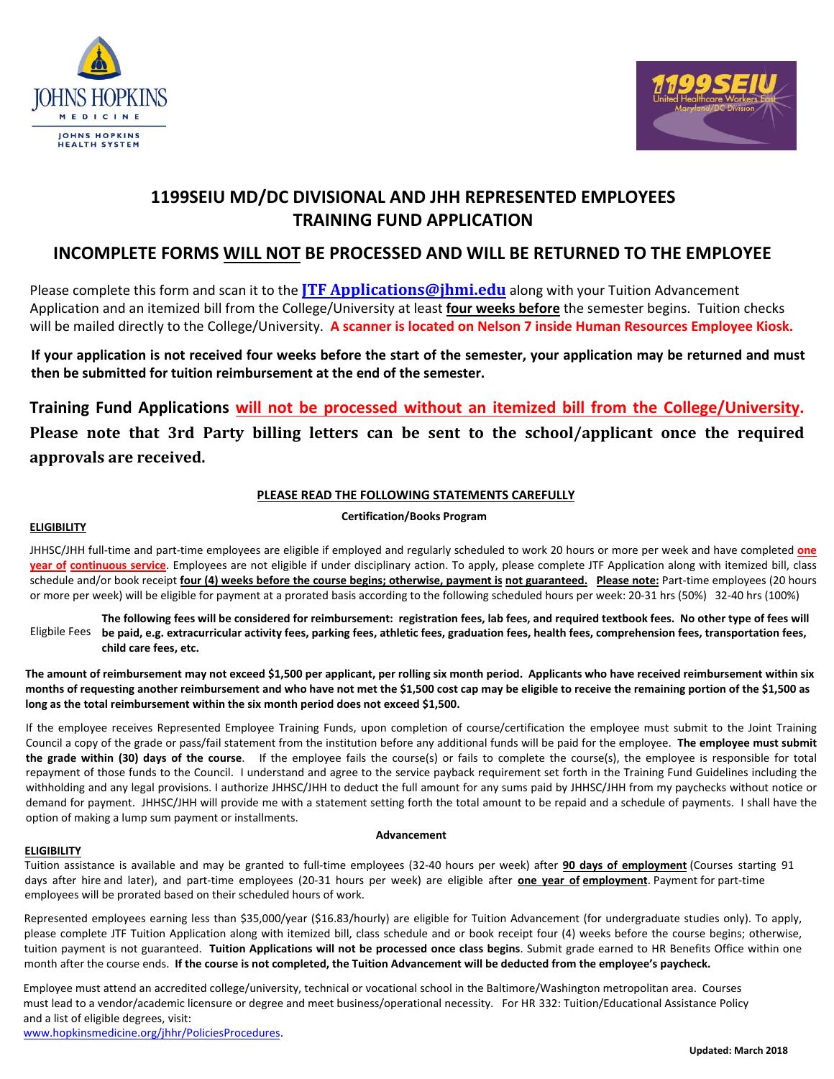



# **1199SEIU MD/DC DIVISIONAL AND JHH REPRESENTED EMPLOYEES TRAINING FUND APPLICATION**

## **INCOMPLETE FORMS WILL NOT BE PROCESSED AND WILL BE RETURNED TO THE EMPLOYEE**

Please complete this form and scan it to the **JTF Applications@jhmi.edu** along with your Tuition Advancement Application and an itemized bill from the College/University at least **four weeks before** the semester begins. Tuition checks will be mailed directly to the College/University. **A scanner is located on Nelson 7 inside Human Resources Employee Kiosk.**

**If your application is not received four weeks before the start of the semester, your application may be returned and must then be submitted for tuition reimbursement at t[he end of the semester.](mailto:JTF%20Applications@jhmi.edu)** 

**Training Fund Applications will not be processed without an itemized bill from the College/University. Please note that 3rd Party billing letters can be sent to the school/applicant once the required approvals are received.** 

## **PLEASE READ THE FOLLOWING STATEMENTS CAREFULLY**

#### **Certification/Books Program**

#### **ELIGIBILITY**

JHHSC/JHH full-time and part-time employees are eligible if employed and regularly scheduled to work 20 hours or more per week and have completed **one year of continuous service**. Employees are not eligible if under disciplinary action. To apply, please complete JTF Application along with itemized bill, class schedule and/or book receipt *four (4) weeks before the course begins; otherwise, payment is not guaranteed. Please note: Part-time employees (20 hours* or more per week) will be eligible for payment at a prorated basis according to the following scheduled hours per week: 20-31 hrs (50%) 32-40 hrs (100%)

**The following fees will be considered for reimbursement: registration fees, lab fees, and required textbook fees. No other type of fees will be paid, e.g. extracurricular acti[vity fees, parking fees, athletic fees, gradu](mailto:JTF%20Applications@jhmi.edu)ation fees, health fees, comprehension fees, transportation fees, child care fees, etc.**  Eligbile Fees

**The amount of reimbursement may not exceed \$1,500 per applicant, per rolling six month period. Applicants who have received reimbursement within six months of requesting another reimbursement and who have not met the \$1,500 cost cap may be eligible to receive the remaining portion of the \$1,500 as long as the total reimbursement within the six month period does not exceed \$1,500.** 

If the employee receives Represented Employee Training Funds, upon completion of course/certification the employee must submit to the Joint Training Council a copy of the grade or pass/fail statement from the institution before any additional funds will be paid for the employee. **The employee must submit the grade within (30) days of the course**. If the employee fails the course(s) or fails to complete the course(s), the employee is responsible for total repayment of those funds to the Council. I understand and agree to the service payback requirement set forth in the Training Fund Guidelines including the withholding and any legal provisions. I authorize JHHSC/JHH to deduct the full amount for any sums paid by JHHSC/JHH from my paychecks without notice or demand for payment. JHHSC/JHH will provide me with a statement setting forth the total amount to be repaid and a schedule of payments. I shall have the option of making a lump sum payment or installments.

#### **ELIGIBILITY**

#### **Advancement**

Tuition assistance is available and may be granted to full-time employees (32-40 hours per week) after **90 days of employment** (Courses starting 91 days after hire and later), and part-time employees (20-31 hours per week) are eligible after **one year of employment**. Payment for part-time employees will be prorated based on their scheduled hours of work.

Represented employees earning less than \$35,000/year (\$16.83/hourly) are eligible for Tuition Advancement (for undergraduate studies only). To apply, please complete JTF Tuition Application along with itemized bill, class schedule and or book receipt four (4) weeks before the course begins; otherwise, tuition payment is not guaranteed. **Tuition Applications will not be processed once class begins**. Submit grade earned to HR Benefits Office within one month after the course ends. **If the course is not completed, the Tuition Advancement will be deducted from the employee's paycheck.** 

Employee must attend an accredited college/university, technical or vocational school in the Baltimore/Washington metropolitan area. Courses must lead to a vendor/academic licensure or degree and meet business/operational necessity. For HR 332: Tuition/Educational Assistance Policy and a list of eligible degrees, visit:

www.hopkinsmedicine.org/jhhr/PoliciesProcedures.